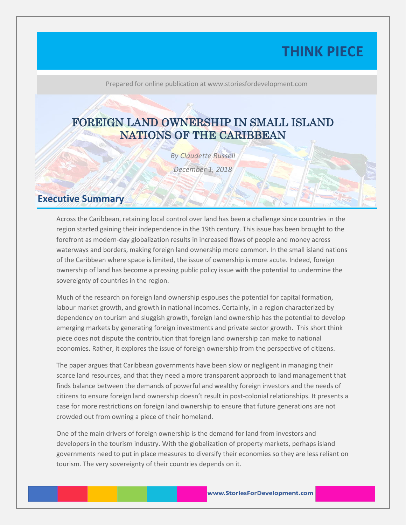# **THINK PIECE**

Prepared for online publication at www.storiesfordevelopment.com

## FOREIGN LAND OWNERSHIP IN SMALL ISLAND NATIONS OF THE CARIBBEAN

*By Claudette Russell December 1, 2018*

#### **Executive Summary**

Across the Caribbean, retaining local control over land has been a challenge since countries in the region started gaining their independence in the 19th century. This issue has been brought to the forefront as modern-day globalization results in increased flows of people and money across waterways and borders, making foreign land ownership more common. In the small island nations of the Caribbean where space is limited, the issue of ownership is more acute. Indeed, foreign ownership of land has become a pressing public policy issue with the potential to undermine the sovereignty of countries in the region.

Much of the research on foreign land ownership espouses the potential for capital formation, labour market growth, and growth in national incomes. Certainly, in a region characterized by dependency on tourism and sluggish growth, foreign land ownership has the potential to develop emerging markets by generating foreign investments and private sector growth. This short think piece does not dispute the contribution that foreign land ownership can make to national economies. Rather, it explores the issue of foreign ownership from the perspective of citizens.

The paper argues that Caribbean governments have been slow or negligent in managing their scarce land resources, and that they need a more transparent approach to land management that finds balance between the demands of powerful and wealthy foreign investors and the needs of citizens to ensure foreign land ownership doesn't result in post-colonial relationships. It presents a case for more restrictions on foreign land ownership to ensure that future generations are not crowded out from owning a piece of their homeland.

One of the main drivers of foreign ownership is the demand for land from investors and developers in the tourism industry. With the globalization of property markets, perhaps island governments need to put in place measures to diversify their economies so they are less reliant on tourism. The very sovereignty of their countries depends on it.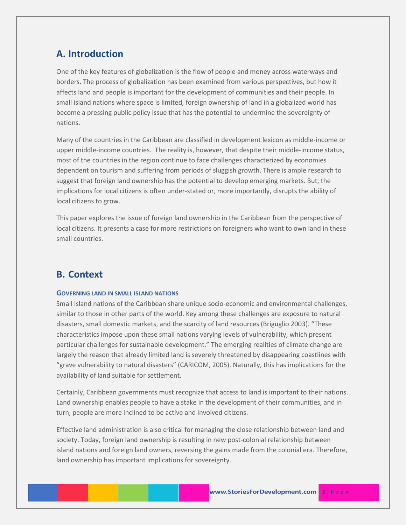## **A. Introduction**

One of the key features of globalization is the flow of people and money across waterways and borders. The process of globalization has been examined from various perspectives, but how it affects land and people is important for the development of communities and their people. In small island nations where space is limited, foreign ownership of land in a globalized world has become a pressing public policy issue that has the potential to undermine the sovereignty of nations.

Many of the countries in the Caribbean are classified in development lexicon as middle-income or upper middle-income countries. The reality is, however, that despite their middle-income status, most of the countries in the region continue to face challenges characterized by economies dependent on tourism and suffering from periods of sluggish growth. There is ample research to suggest that foreign land ownership has the potential to develop emerging markets. But, the implications for local citizens is often under-stated or, more importantly, disrupts the ability of local citizens to grow.

This paper explores the issue of foreign land ownership in the Caribbean from the perspective of local citizens. It presents a case for more restrictions on foreigners who want to own land in these small countries.

#### **B. Context**

#### **GOVERNING LAND IN SMALL ISLAND NATIONS**

Small island nations of the Caribbean share unique socio-economic and environmental challenges, similar to those in other parts of the world. Key among these challenges are exposure to natural disasters, small domestic markets, and the scarcity of land resources (Briguglio 2003). "These characteristics impose upon these small nations varying levels of vulnerability, which present particular challenges for sustainable development." The emerging realities of climate change are largely the reason that already limited land is severely threatened by disappearing coastlines with "grave vulnerability to natural disasters" (CARICOM, 2005). Naturally, this has implications for the availability of land suitable for settlement.

Certainly, Caribbean governments must recognize that access to land is important to their nations. Land ownership enables people to have a stake in the development of their communities, and in turn, people are more inclined to be active and involved citizens.

Effective land administration is also critical for managing the close relationship between land and society. Today, foreign land ownership is resulting in new post-colonial relationship between island nations and foreign land owners, reversing the gains made from the colonial era. Therefore, land ownership has important implications for sovereignty.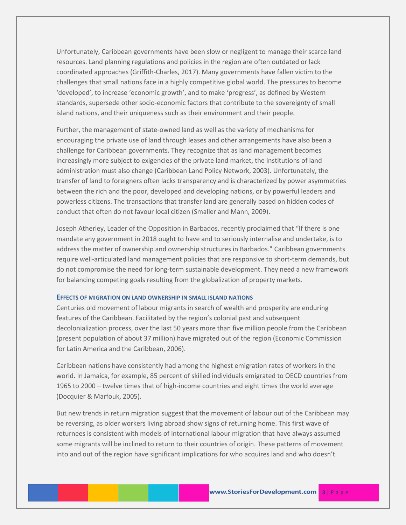Unfortunately, Caribbean governments have been slow or negligent to manage their scarce land resources. Land planning regulations and policies in the region are often outdated or lack coordinated approaches (Griffith-Charles, 2017). Many governments have fallen victim to the challenges that small nations face in a highly competitive global world. The pressures to become 'developed', to increase 'economic growth', and to make 'progress', as defined by Western standards, supersede other socio-economic factors that contribute to the sovereignty of small island nations, and their uniqueness such as their environment and their people.

Further, the management of state-owned land as well as the variety of mechanisms for encouraging the private use of land through leases and other arrangements have also been a challenge for Caribbean governments. They recognize that as land management becomes increasingly more subject to exigencies of the private land market, the institutions of land administration must also change (Caribbean Land Policy Network, 2003). Unfortunately, the transfer of land to foreigners often lacks transparency and is characterized by power asymmetries between the rich and the poor, developed and developing nations, or by powerful leaders and powerless citizens. The transactions that transfer land are generally based on hidden codes of conduct that often do not favour local citizen (Smaller and Mann, 2009).

Joseph Atherley, Leader of the Opposition in Barbados, recently proclaimed that "If there is one mandate any government in 2018 ought to have and to seriously internalise and undertake, is to address the matter of ownership and ownership structures in Barbados." Caribbean governments require well-articulated land management policies that are responsive to short-term demands, but do not compromise the need for long-term sustainable development. They need a new framework for balancing competing goals resulting from the globalization of property markets.

#### **EFFECTS OF MIGRATION ON LAND OWNERSHIP IN SMALL ISLAND NATIONS**

Centuries old movement of labour migrants in search of wealth and prosperity are enduring features of the Caribbean. Facilitated by the region's colonial past and subsequent decolonialization process, over the last 50 years more than five million people from the Caribbean (present population of about 37 million) have migrated out of the region (Economic Commission for Latin America and the Caribbean, 2006).

Caribbean nations have consistently had among the highest emigration rates of workers in the world. In Jamaica, for example, 85 percent of skilled individuals emigrated to OECD countries from 1965 to 2000 – twelve times that of high-income countries and eight times the world average (Docquier & Marfouk, 2005).

But new trends in return migration suggest that the movement of labour out of the Caribbean may be reversing, as older workers living abroad show signs of returning home. This first wave of returnees is consistent with models of international labour migration that have always assumed some migrants will be inclined to return to their countries of origin. These patterns of movement into and out of the region have significant implications for who acquires land and who doesn't.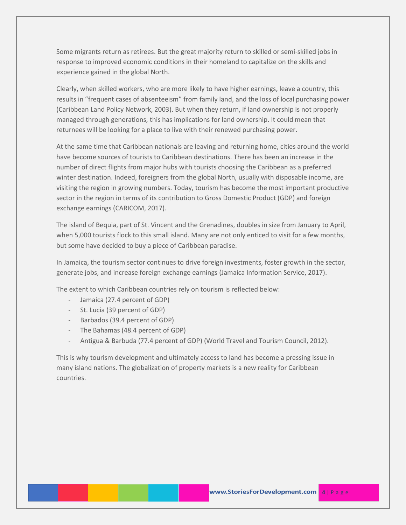Some migrants return as retirees. But the great majority return to skilled or semi-skilled jobs in response to improved economic conditions in their homeland to capitalize on the skills and experience gained in the global North.

Clearly, when skilled workers, who are more likely to have higher earnings, leave a country, this results in "frequent cases of absenteeism" from family land, and the loss of local purchasing power (Caribbean Land Policy Network, 2003). But when they return, if land ownership is not properly managed through generations, this has implications for land ownership. It could mean that returnees will be looking for a place to live with their renewed purchasing power.

At the same time that Caribbean nationals are leaving and returning home, cities around the world have become sources of tourists to Caribbean destinations. There has been an increase in the number of direct flights from major hubs with tourists choosing the Caribbean as a preferred winter destination. Indeed, foreigners from the global North, usually with disposable income, are visiting the region in growing numbers. Today, tourism has become the most important productive sector in the region in terms of its contribution to Gross Domestic Product (GDP) and foreign exchange earnings (CARICOM, 2017).

The island of Bequia, part of St. Vincent and the Grenadines, doubles in size from January to April, when 5,000 tourists flock to this small island. Many are not only enticed to visit for a few months, but some have decided to buy a piece of Caribbean paradise.

In Jamaica, the tourism sector continues to drive foreign investments, foster growth in the sector, generate jobs, and increase foreign exchange earnings (Jamaica Information Service, 2017).

The extent to which Caribbean countries rely on tourism is reflected below:

- Jamaica (27.4 percent of GDP)
- St. Lucia (39 percent of GDP)
- Barbados (39.4 percent of GDP)
- The Bahamas (48.4 percent of GDP)
- Antigua & Barbuda (77.4 percent of GDP) (World Travel and Tourism Council, 2012).

This is why tourism development and ultimately access to land has become a pressing issue in many island nations. The globalization of property markets is a new reality for Caribbean countries.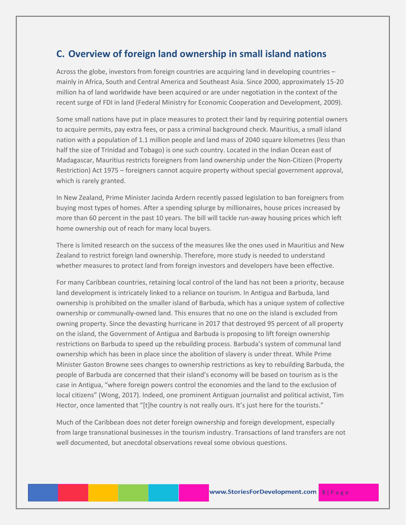#### **C. Overview of foreign land ownership in small island nations**

Across the globe, investors from foreign countries are acquiring land in developing countries – mainly in Africa, South and Central America and Southeast Asia. Since 2000, approximately 15-20 million ha of land worldwide have been acquired or are under negotiation in the context of the recent surge of FDI in land (Federal Ministry for Economic Cooperation and Development, 2009).

Some small nations have put in place measures to protect their land by requiring potential owners to acquire permits, pay extra fees, or pass a criminal background check. Mauritius, a small island nation with a population of 1.1 million people and land mass of 2040 square kilometres (less than half the size of Trinidad and Tobago) is one such country. Located in the Indian Ocean east of Madagascar, Mauritius restricts foreigners from land ownership under the Non-Citizen (Property Restriction) Act 1975 – foreigners cannot acquire property without special government approval, which is rarely granted.

In New Zealand, Prime Minister Jacinda Ardern recently passed legislation to ban foreigners from buying most types of homes. After a spending splurge by millionaires, house prices increased by more than 60 percent in the past 10 years. The bill will tackle run-away housing prices which left home ownership out of reach for many local buyers.

There is limited research on the success of the measures like the ones used in Mauritius and New Zealand to restrict foreign land ownership. Therefore, more study is needed to understand whether measures to protect land from foreign investors and developers have been effective.

For many Caribbean countries, retaining local control of the land has not been a priority, because land development is intricately linked to a reliance on tourism. In Antigua and Barbuda, land ownership is prohibited on the smaller island of Barbuda, which has a unique system of collective ownership or communally-owned land. This ensures that no one on the island is excluded from owning property. Since the devasting hurricane in 2017 that destroyed 95 percent of all property on the island, the Government of Antigua and Barbuda is proposing to lift foreign ownership restrictions on Barbuda to speed up the rebuilding process. Barbuda's system of communal land ownership which has been in place since the abolition of slavery is under threat. While Prime Minister Gaston Browne sees changes to ownership restrictions as key to rebuilding Barbuda, the people of Barbuda are concerned that their island's economy will be based on tourism as is the case in Antigua, "where foreign powers control the economies and the land to the exclusion of local citizens" (Wong, 2017). Indeed, one prominent Antiguan journalist and political activist, Tim Hector, once lamented that "[t]he country is not really ours. It's just here for the tourists."

Much of the Caribbean does not deter foreign ownership and foreign development, especially from large transnational businesses in the tourism industry. Transactions of land transfers are not well documented, but anecdotal observations reveal some obvious questions.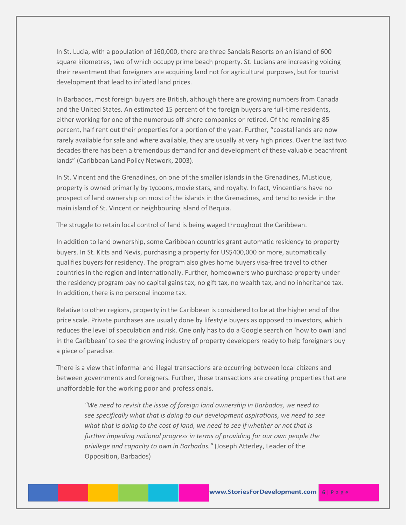In St. Lucia, with a population of 160,000, there are three Sandals Resorts on an island of 600 square kilometres, two of which occupy prime beach property. St. Lucians are increasing voicing their resentment that foreigners are acquiring land not for agricultural purposes, but for tourist development that lead to inflated land prices.

In Barbados, most foreign buyers are British, although there are growing numbers from Canada and the United States. An estimated 15 percent of the foreign buyers are full-time residents, either working for one of the numerous off-shore companies or retired. Of the remaining 85 percent, half rent out their properties for a portion of the year. Further, "coastal lands are now rarely available for sale and where available, they are usually at very high prices. Over the last two decades there has been a tremendous demand for and development of these valuable beachfront lands" (Caribbean Land Policy Network, 2003).

In St. Vincent and the Grenadines, on one of the smaller islands in the Grenadines, Mustique, property is owned primarily by tycoons, movie stars, and royalty. In fact, Vincentians have no prospect of land ownership on most of the islands in the Grenadines, and tend to reside in the main island of St. Vincent or neighbouring island of Bequia.

The struggle to retain local control of land is being waged throughout the Caribbean.

In addition to land ownership, some Caribbean countries grant automatic residency to property buyers. In St. Kitts and Nevis, purchasing a property for US\$400,000 or more, automatically qualifies buyers for residency. The program also gives home buyers visa-free travel to other countries in the region and internationally. Further, homeowners who purchase property under the residency program pay no capital gains tax, no gift tax, no wealth tax, and no inheritance tax. In addition, there is no personal income tax.

Relative to other regions, property in the Caribbean is considered to be at the higher end of the price scale. Private purchases are usually done by lifestyle buyers as opposed to investors, which reduces the level of speculation and risk. One only has to do a Google search on 'how to own land in the Caribbean' to see the growing industry of property developers ready to help foreigners buy a piece of paradise.

There is a view that informal and illegal transactions are occurring between local citizens and between governments and foreigners. Further, these transactions are creating properties that are unaffordable for the working poor and professionals.

*"We need to revisit the issue of foreign land ownership in Barbados, we need to see specifically what that is doing to our development aspirations, we need to see what that is doing to the cost of land, we need to see if whether or not that is further impeding national progress in terms of providing for our own people the privilege and capacity to own in Barbados."* (Joseph Atterley, Leader of the Opposition, Barbados)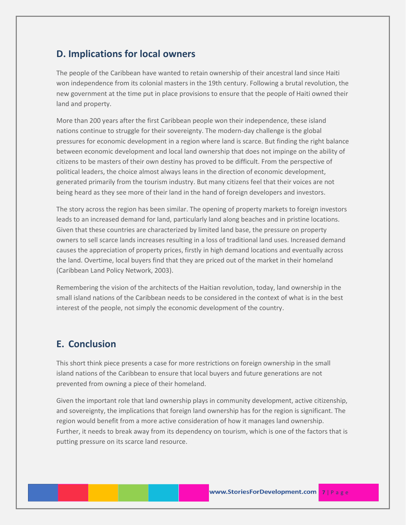#### **D. Implications for local owners**

The people of the Caribbean have wanted to retain ownership of their ancestral land since Haiti won independence from its colonial masters in the 19th century. Following a brutal revolution, the new government at the time put in place provisions to ensure that the people of Haiti owned their land and property.

More than 200 years after the first Caribbean people won their independence, these island nations continue to struggle for their sovereignty. The modern-day challenge is the global pressures for economic development in a region where land is scarce. But finding the right balance between economic development and local land ownership that does not impinge on the ability of citizens to be masters of their own destiny has proved to be difficult. From the perspective of political leaders, the choice almost always leans in the direction of economic development, generated primarily from the tourism industry. But many citizens feel that their voices are not being heard as they see more of their land in the hand of foreign developers and investors.

The story across the region has been similar. The opening of property markets to foreign investors leads to an increased demand for land, particularly land along beaches and in pristine locations. Given that these countries are characterized by limited land base, the pressure on property owners to sell scarce lands increases resulting in a loss of traditional land uses. Increased demand causes the appreciation of property prices, firstly in high demand locations and eventually across the land. Overtime, local buyers find that they are priced out of the market in their homeland (Caribbean Land Policy Network, 2003).

Remembering the vision of the architects of the Haitian revolution, today, land ownership in the small island nations of the Caribbean needs to be considered in the context of what is in the best interest of the people, not simply the economic development of the country.

### **E. Conclusion**

This short think piece presents a case for more restrictions on foreign ownership in the small island nations of the Caribbean to ensure that local buyers and future generations are not prevented from owning a piece of their homeland.

Given the important role that land ownership plays in community development, active citizenship, and sovereignty, the implications that foreign land ownership has for the region is significant. The region would benefit from a more active consideration of how it manages land ownership. Further, it needs to break away from its dependency on tourism, which is one of the factors that is putting pressure on its scarce land resource.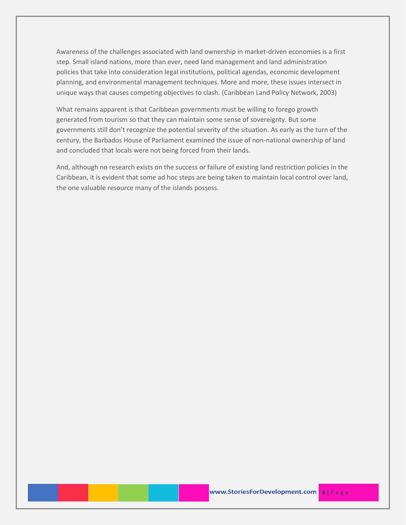Awareness of the challenges associated with land ownership in market-driven economies is a first step. Small island nations, more than ever, need land management and land administration policies that take into consideration legal institutions, political agendas, economic development planning, and environmental management techniques. More and more, these issues intersect in unique ways that causes competing objectives to clash. (Caribbean Land Policy Network, 2003)

What remains apparent is that Caribbean governments must be willing to forego growth generated from tourism so that they can maintain some sense of sovereignty. But some governments still don't recognize the potential severity of the situation. As early as the turn of the century, the Barbados House of Parliament examined the issue of non-national ownership of land and concluded that locals were not being forced from their lands.

And, although no research exists on the success or failure of existing land restriction policies in the Caribbean, it is evident that some ad hoc steps are being taken to maintain local control over land, the one valuable resource many of the islands possess.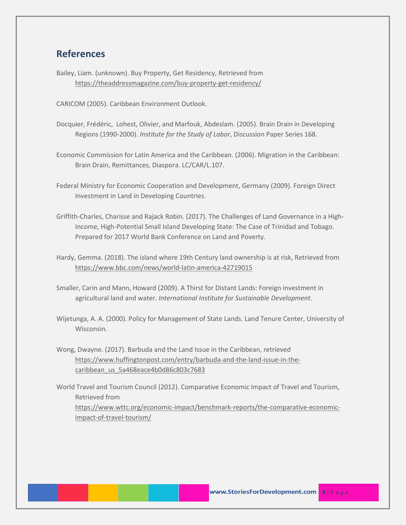#### **References**

Bailey, Liam. (unknown). Buy Property, Get Residency, Retrieved from <https://theaddressmagazine.com/buy-property-get-residency/>

CARICOM (2005). Caribbean Environment Outlook.

- Docquier, Frédéric, Lohest, Olivier, and Marfouk, Abdeslam. (2005). Brain Drain in Developing Regions (1990-2000). *Institute for the Study of Labor*, Discussion Paper Series 168.
- Economic Commission for Latin America and the Caribbean. (2006). Migration in the Caribbean: Brain Drain, Remittances, Diaspora. LC/CAR/L.107.
- Federal Ministry for Economic Cooperation and Development, Germany (2009). Foreign Direct Investment in Land in Developing Countries.
- Griffith-Charles, Charisse and Rajack Robin. (2017). The Challenges of Land Governance in a High-Income, High-Potential Small Island Developing State: The Case of Trinidad and Tobago. Prepared for 2017 World Bank Conference on Land and Poverty.
- Hardy, Gemma. (2018). The island where 19th Century land ownership is at risk, Retrieved from <https://www.bbc.com/news/world-latin-america-42719015>
- Smaller, Carin and Mann, Howard (2009). A Thirst for Distant Lands: Foreign investment in agricultural land and water. *International Institute for Sustainable Development*.
- Wijetunga, A. A. (2000). Policy for Management of State Lands. Land Tenure Center, University of Wisconsin.
- Wong, Dwayne. (2017). Barbuda and the Land Issue in the Caribbean, retrieved [https://www.huffingtonpost.com/entry/barbuda-and-the-land-issue-in-the](https://www.huffingtonpost.com/entry/barbuda-and-the-land-issue-in-the-caribbean_us_5a468eace4b0d86c803c7683)[caribbean\\_us\\_5a468eace4b0d86c803c7683](https://www.huffingtonpost.com/entry/barbuda-and-the-land-issue-in-the-caribbean_us_5a468eace4b0d86c803c7683)
- World Travel and Tourism Council (2012). Comparative Economic Impact of Travel and Tourism, Retrieved from [https://www.wttc.org/economic-impact/benchmark-reports/the-comparative-economic](https://www.wttc.org/economic-impact/benchmark-reports/the-comparative-economic-impact-of-travel-tourism/)[impact-of-travel-tourism/](https://www.wttc.org/economic-impact/benchmark-reports/the-comparative-economic-impact-of-travel-tourism/)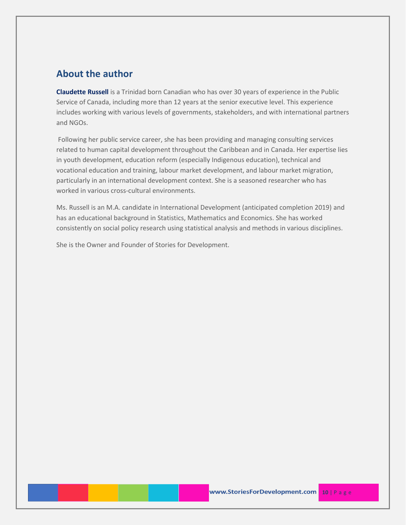#### **About the author**

**Claudette Russell** is a Trinidad born Canadian who has over 30 years of experience in the Public Service of Canada, including more than 12 years at the senior executive level. This experience includes working with various levels of governments, stakeholders, and with international partners and NGOs.

Following her public service career, she has been providing and managing consulting services related to human capital development throughout the Caribbean and in Canada. Her expertise lies in youth development, education reform (especially Indigenous education), technical and vocational education and training, labour market development, and labour market migration, particularly in an international development context. She is a seasoned researcher who has worked in various cross-cultural environments.

Ms. Russell is an M.A. candidate in International Development (anticipated completion 2019) and has an educational background in Statistics, Mathematics and Economics. She has worked consistently on social policy research using statistical analysis and methods in various disciplines.

She is the Owner and Founder of Stories for Development.